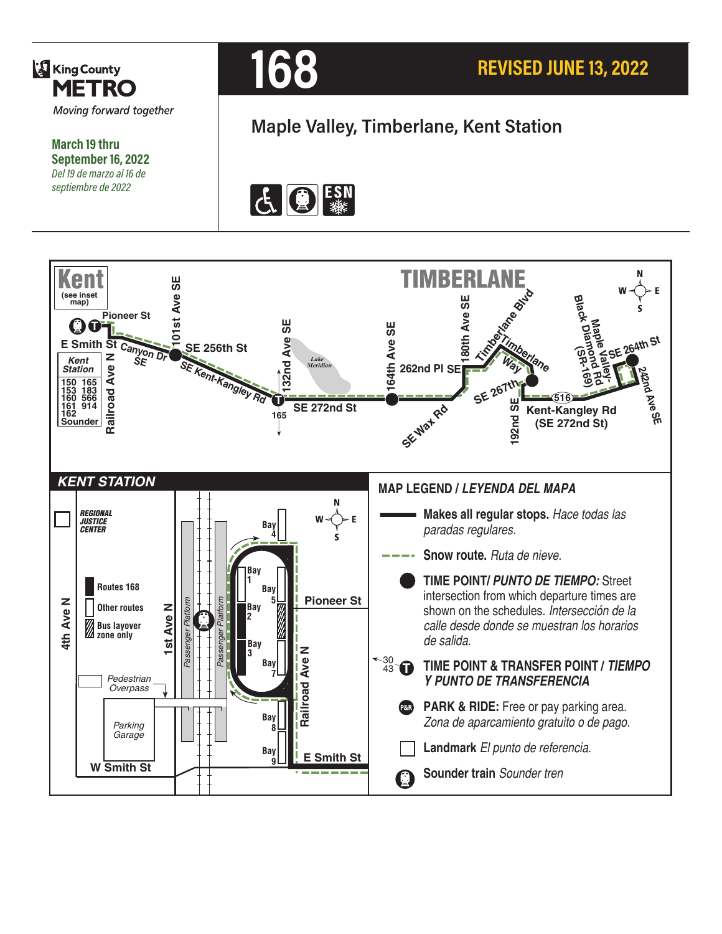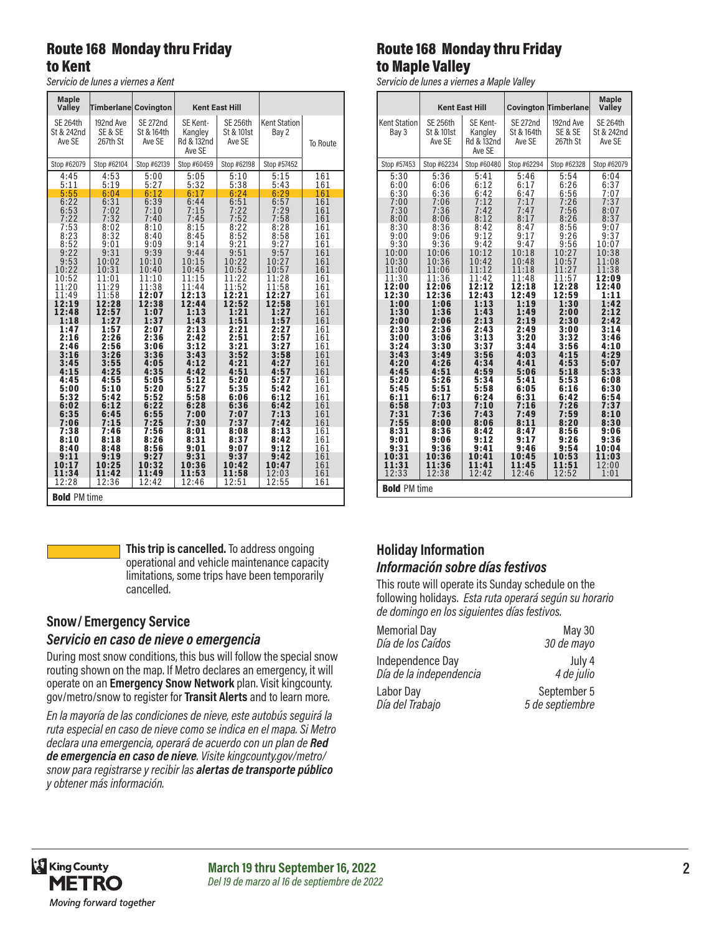#### Route 168 Monday thru Friday to Kent

*Servicio de lunes a viernes a Kent*

| <b>Maple</b><br>Valley                  | <b>Timberlane Covington</b>      |                                         |                                             | <b>Kent East Hill</b>                   |                              |          |  |
|-----------------------------------------|----------------------------------|-----------------------------------------|---------------------------------------------|-----------------------------------------|------------------------------|----------|--|
| <b>SE 264th</b><br>St & 242nd<br>Ave SE | 192nd Ave<br>SE & SE<br>267th St | <b>SE 272nd</b><br>St & 164th<br>Ave SE | SE Kent-<br>Kangley<br>Rd & 132nd<br>Ave SE | <b>SE 256th</b><br>St & 101st<br>Ave SE | <b>Kent Station</b><br>Bay 2 | To Route |  |
| Stop #62079                             | Stop #62104                      | Stop #62139                             | Stop #60459                                 | Stop #62198                             | Stop #57452                  |          |  |
| 4:45                                    | 4:53                             | 5:00                                    | 5:05                                        | 5:10                                    | 5:15                         | 161      |  |
| 5:11                                    | 5:19                             | 5:27                                    | 5:32                                        | 5:38                                    | 5:43                         | 161      |  |
| 5:55                                    | 6:04                             | 6:12                                    | 6:17                                        | 6:24                                    | 6:29                         | 161      |  |
| 6:22                                    | 6:31                             | 6:39                                    | 6:44                                        | 6:51                                    | 6:57                         | 161      |  |
| 6:53                                    | 7:02                             | 7:10                                    | 7:15                                        | 7:22                                    | 7:29                         | 161      |  |
| 7:22                                    | 7:32                             | 7:40                                    | 7:45                                        | 7:52                                    | 7:58                         | 161      |  |
| 7:53                                    | 8:02                             | 8:10                                    | 8:15                                        | 8:22                                    | 8:28                         | 161      |  |
| 8:23                                    | 8:32                             | 8:40                                    | 8:45                                        | 8:52                                    | 8:58                         | 161      |  |
| 8:52                                    | 9:01                             | 9:09                                    | 9:14                                        | 9:21                                    | 9:27                         | 161      |  |
| 9:22                                    | 9:31                             | 9:39                                    | 9:44                                        | 9:51                                    | 9:57                         | 161      |  |
| 9:53                                    | 10:02                            | 10:10                                   | 10:15                                       | 10:22                                   | 10:27                        | 161      |  |
| 10:22                                   | 10:31                            | 10:40                                   | 10:45                                       | 10:52                                   | 10:57                        | 161      |  |
| 10:52                                   | 11:01                            | 11:10                                   | 11:15                                       | 11:22                                   | 11:28                        | 161      |  |
| 11:20                                   | 11:29                            | 11:38                                   | 11:44                                       | 11:52                                   | 11:58                        | 161      |  |
| 11:49                                   | 11:58                            | 12:07                                   | 12:13                                       | 12:21                                   | 12:27                        | 161      |  |
| 12:19                                   | 12:28                            | 12:38                                   | 12:44                                       | 12:52                                   | 12:58                        | 161      |  |
| 12:48                                   | 12:57                            | 1:07                                    | 1:13                                        | 1:21                                    | 1:27                         | 161      |  |
| 1:18                                    | 1:27                             | 1:37                                    | 1:43                                        | 1:51                                    | 1:57                         | 161      |  |
| 1:47                                    | 1:57                             | 2:07                                    | 2:13                                        | 2:21                                    | 2:27                         | 161      |  |
| 2:16                                    | 2:26                             | 2:36                                    | 2:42                                        | 2:51                                    | 2:57                         | 161      |  |
| 2:46                                    | 2:56                             | 3:06                                    | 3:12                                        | 3:21                                    | 3:27                         | 161      |  |
| 3:16                                    | 3:26                             | 3:36                                    | 3:43                                        | 3:52                                    | 3:58                         | 161      |  |
| 3:45                                    | 3:55                             | 4:05                                    | 4:12                                        | 4:21                                    | 4:27                         | 161      |  |
| 4:15                                    | 4:25                             | 4:35                                    | 4:42                                        | 4:51                                    | 4:57                         | 161      |  |
| 4:45                                    | 4:55                             | 5:05                                    | 5:12                                        | 5:20                                    | 5:27                         | 161      |  |
| 5:00                                    | 5:10                             | 5:20                                    | 5:27                                        | 5:35                                    | 5:42                         | 161      |  |
| 5:32                                    | 5:42                             | 5:52                                    | 5:58                                        | 6:06                                    | 6:12                         | 161      |  |
| 6:02                                    | 6:12                             | 6:22                                    | 6:28                                        | 6:36                                    | 6:42                         | 161      |  |
| 6:35                                    | 6:45                             | 6:55                                    | 7:00                                        | 7:07                                    | 7:13                         | 161      |  |
| 7:06                                    | 7:15                             | 7:25                                    | 7:30                                        | 7:37                                    | 7:42                         | 161      |  |
| 7:38                                    | 7:46                             | 7:56                                    | 8:01                                        | 8:08                                    | 8:13                         | 161      |  |
| 8:10                                    | 8:18                             | 8:26                                    | 8:31                                        | 8:37                                    | 8:42                         | 161      |  |
| 8:40                                    | 8:48                             | 8:56                                    | 9:01                                        | 9:07                                    | 9:12                         | 161      |  |
| 9:11                                    | 9:19                             | 9:27                                    | 9:31                                        | 9:37                                    | 9:42                         | 161      |  |
| 10:17                                   | 10:25                            | 10:32                                   | 10:36                                       | 10:42                                   | 10:47                        | 161      |  |
| 11:34                                   | 11:42                            | 11:49                                   | 11:53                                       | 11:58                                   | 12:03                        | 161      |  |
| 12:28                                   | 12:36                            | 12:42                                   | 12:46                                       | 12:51                                   | 12:55                        | 161      |  |
| <b>Bold PM time</b>                     |                                  |                                         |                                             |                                         |                              |          |  |

**This trip is cancelled.** To address ongoing operational and vehicle maintenance capacity limitations, some trips have been temporarily cancelled.

# **Snow/ Emergency Service**

#### *Servicio en caso de nieve o emergencia*

During most snow conditions, this bus will follow the special snow routing shown on the map. If Metro declares an emergency, it will operate on an **Emergency Snow Network** plan. Visit kingcounty. gov/metro/snow to register for **Transit Alerts** and to learn more.

*En la mayoría de las condiciones de nieve, este autobús seguirá la ruta especial en caso de nieve como se indica en el mapa. Si Metro declara una emergencia, operará de acuerdo con un plan de Red de emergencia en caso de nieve. Visite kingcounty.gov/metro/ snow para registrarse y recibir las alertas de transporte público y obtener más información.*

### Route 168 Monday thru Friday to Maple Valley

*Servicio de lunes a viernes a Maple Valley*

|                              |                                         |                                             |                                         |                                  | <b>Maple</b>                            |  |  |
|------------------------------|-----------------------------------------|---------------------------------------------|-----------------------------------------|----------------------------------|-----------------------------------------|--|--|
|                              | <b>Kent East Hill</b>                   |                                             |                                         | <b>Covington Timberlane</b>      | Valley                                  |  |  |
| <b>Kent Station</b><br>Bay 3 | <b>SE 256th</b><br>St & 101st<br>Ave SE | SE Kent-<br>Kangley<br>Rd & 132nd<br>Ave SE | <b>SE 272nd</b><br>St & 164th<br>Ave SE | 192nd Ave<br>SE & SE<br>267th St | <b>SE 264th</b><br>St & 242nd<br>Ave SE |  |  |
| Stop #57453                  | Stop #62234                             | Stop #60480                                 | Stop #62294                             | Stop #62328                      | Stop #62079                             |  |  |
| 5:30                         | 5:36                                    | 5:41                                        | 5:46                                    | 5:54                             | 6:04                                    |  |  |
| 6:00                         | 6:06                                    | 6:12                                        | 6:17                                    | 6:26                             | 6:37                                    |  |  |
| 6:30                         | 6:36                                    | 6:42                                        | 6:47                                    | 6:56                             | 7:07                                    |  |  |
| 7:00                         | 7:06                                    | 7:12                                        | 7:17                                    | 7:26                             | 7:37                                    |  |  |
| 7:30                         | 7:36                                    | 7:42                                        | 7:47                                    | 7:56                             | 8:07                                    |  |  |
| 8:00                         | 8:06                                    | 8:12                                        | 8:17                                    | 8:26                             | 8:37                                    |  |  |
| 8:30                         | 8:36                                    | 8:42                                        | 8:47                                    | 8:56                             | 9:07                                    |  |  |
| 9:00                         | 9:06                                    | 9:12                                        | 9:17                                    | 9:26                             | 9:37                                    |  |  |
| 9:30                         | 9:36                                    | 9:42                                        | 9:47                                    | 9:56                             | 10:07                                   |  |  |
| 10:00                        | 10:06                                   | 10:12                                       | 10:18                                   | 10:27                            | 10:38                                   |  |  |
| 10:30                        | 10:36                                   | 10:42                                       | 10:48                                   | 10:57                            | 11:08                                   |  |  |
| 11:00                        | 11:06                                   | 11:12                                       | 11:18                                   | 11:27                            | 11:38                                   |  |  |
| 11:30                        | 11:36                                   | 11:42                                       | 11:48                                   | 11:57                            | 12:09                                   |  |  |
| 12:00                        | 12:06                                   | 12:12                                       | 12:18                                   | 12:28                            | 12:40                                   |  |  |
| 12:30                        | 12:36                                   | 12:43                                       | 12:49                                   | 12:59                            | 1:11                                    |  |  |
| 1:00                         | 1:06                                    | 1:13                                        | 1:19                                    | 1:30                             | 1:42                                    |  |  |
| 1:30                         | 1:36                                    | 1:43                                        | 1:49                                    | 2:00                             | 2:12                                    |  |  |
| 2:00                         | 2:06                                    | 2:13                                        | 2:19                                    | 2:30                             | 2:42                                    |  |  |
| 2:30                         | 2:36                                    | 2:43                                        | 2:49                                    | 3:00                             | 3:14                                    |  |  |
| 3:00                         | 3:06                                    | 3:13                                        | 3:20                                    | 3:32                             | 3:46                                    |  |  |
| 3:24                         | 3:30                                    | 3:37                                        | 3:44                                    | 3:56                             | 4:10                                    |  |  |
| 3:43                         | 3:49                                    | 3:56                                        | 4:03                                    | 4:15                             | 4:29                                    |  |  |
| 4:20                         | 4:26                                    | 4:34                                        | 4:41                                    | 4:53                             | 5:07                                    |  |  |
| 4:45                         | 4:51                                    | 4:59                                        | 5:06                                    | 5:18                             | 5:33                                    |  |  |
| 5:20                         | 5:26                                    | 5:34                                        | 5:41                                    | 5:53                             | 6:08                                    |  |  |
| 5:45                         | 5:51                                    | 5:58                                        | 6:05                                    | 6:16                             | 6:30                                    |  |  |
| 6:11                         | 6:17                                    | 6:24                                        | 6:31                                    | 6:42                             | 6:54                                    |  |  |
| 6:58                         | 7:03                                    | 7:10                                        | 7:16                                    | 7:26                             | 7:37                                    |  |  |
| 7:31                         | 7:36                                    | 7:43                                        | 7:49                                    | 7:59                             | 8:10                                    |  |  |
| 7:55                         | 8:00                                    | 8:06                                        | 8:11                                    | 8:20                             | 8:30                                    |  |  |
| 8:31                         | 8:36                                    | 8:42                                        | 8:47                                    | 8:56                             | 9:06                                    |  |  |
| 9:01                         | 9:06                                    | 9:12                                        | 9:17                                    | 9:26                             | 9:36                                    |  |  |
| 9:31                         | 9:36                                    | 9:41                                        | 9:46                                    | 9:54                             | 10:04                                   |  |  |
| 10:31                        | 10:36                                   | 10:41                                       | 10:45                                   | 10:53                            | 11:03                                   |  |  |
| 11:31                        | 11:36                                   | 11:41                                       | 11:45                                   | 11:51                            | 12:00                                   |  |  |
| 12:33                        | 12:38                                   | 12:42                                       | 12:46                                   | 12:52                            | 1:01                                    |  |  |
| <b>Bold PM time</b>          |                                         |                                             |                                         |                                  |                                         |  |  |

#### **Holiday Information** *Información sobre días festivos*

This route will operate its Sunday schedule on the following holidays. *Esta ruta operará según su horario de domingo en los siguientes días festivos.*

| <b>Memorial Day</b>     | <b>May 30</b>   |
|-------------------------|-----------------|
| Día de los Caídos       | 30 de mayo      |
| Independence Day        | July 4          |
| Día de la independencia | 4 de julio      |
| Labor Day               | September 5     |
| Día del Trabajo         | 5 de septiembre |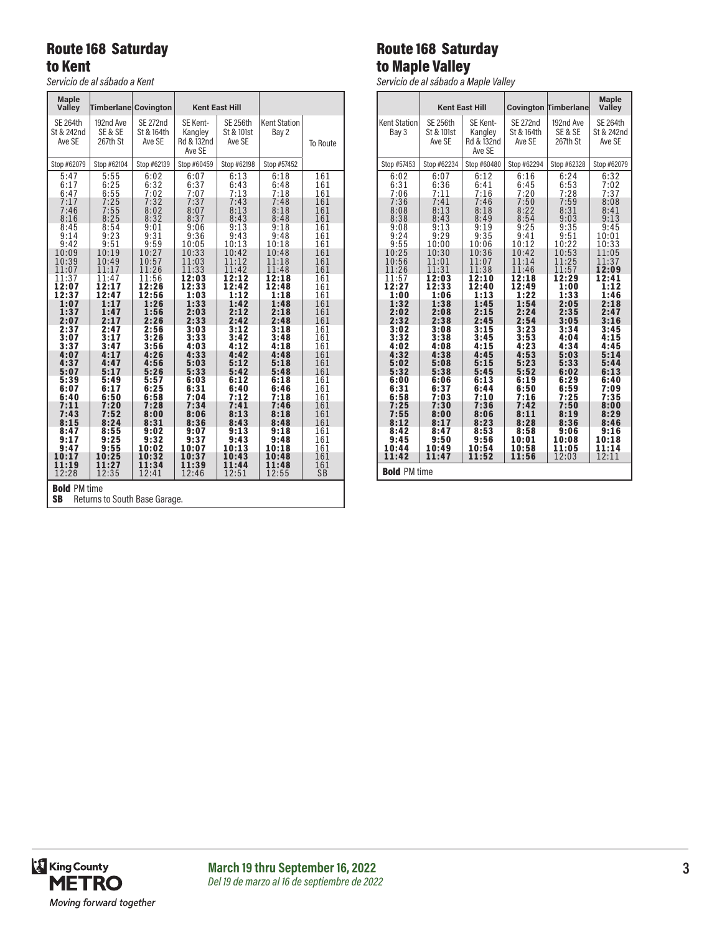### Route 168 Saturday to Kent

*Servicio de al sábado a Kent*

| <b>Maple</b><br>Valley                                                                                                                                                                                                                                                     | Timberlane Covington                                                                                                                                                                                                                                                       |                                                                                                                                                                                                                                                                             |                                                                                                                                                                                                                                                                             | <b>Kent East Hill</b>                                                                                                                                                                                                                                                       |                                                                                                                                                                                                                                                                             |                                                                                                                                                                                                                                     |  |
|----------------------------------------------------------------------------------------------------------------------------------------------------------------------------------------------------------------------------------------------------------------------------|----------------------------------------------------------------------------------------------------------------------------------------------------------------------------------------------------------------------------------------------------------------------------|-----------------------------------------------------------------------------------------------------------------------------------------------------------------------------------------------------------------------------------------------------------------------------|-----------------------------------------------------------------------------------------------------------------------------------------------------------------------------------------------------------------------------------------------------------------------------|-----------------------------------------------------------------------------------------------------------------------------------------------------------------------------------------------------------------------------------------------------------------------------|-----------------------------------------------------------------------------------------------------------------------------------------------------------------------------------------------------------------------------------------------------------------------------|-------------------------------------------------------------------------------------------------------------------------------------------------------------------------------------------------------------------------------------|--|
| <b>SE 264th</b><br>St & 242nd<br>Ave SE                                                                                                                                                                                                                                    | 192nd Ave<br>SE & SE<br>267th St                                                                                                                                                                                                                                           | <b>SE 272nd</b><br>St & 164th<br>Ave SE                                                                                                                                                                                                                                     | SE Kent-<br>Kangley<br>Rd & 132nd<br>Ave SE                                                                                                                                                                                                                                 | <b>SE 256th</b><br>St & 101st<br>Ave SE                                                                                                                                                                                                                                     | <b>Kent Station</b><br>Bay 2                                                                                                                                                                                                                                                | <b>To Route</b>                                                                                                                                                                                                                     |  |
| Stop #62079                                                                                                                                                                                                                                                                | Stop #62104                                                                                                                                                                                                                                                                | Stop #62139                                                                                                                                                                                                                                                                 | Stop #60459                                                                                                                                                                                                                                                                 | Stop #62198                                                                                                                                                                                                                                                                 | Stop #57452                                                                                                                                                                                                                                                                 |                                                                                                                                                                                                                                     |  |
| 5:47<br>6:17<br>6:47<br>7:17<br>7:46<br>8:16<br>8:45<br>9:14<br>9:42<br>10:09<br>10:39<br>11:07<br>11:37<br>12:07<br>12:37<br>1:07<br>1:37<br>2:07<br>2:37<br>3:07<br>3:37<br>4:07<br>4:37<br>5:07<br>5:39<br>6:07<br>6:40<br>7:11<br>7:43<br>8:15<br>8:47<br>9:17<br>9:47 | 5:55<br>6:25<br>6:55<br>7:25<br>7:55<br>8:25<br>8:54<br>9:23<br>9:51<br>10:19<br>10:49<br>11:17<br>11:47<br>12:17<br>12:47<br>1:17<br>1:47<br>2:17<br>2:47<br>3:17<br>3:47<br>4:17<br>4:47<br>5:17<br>5:49<br>6:17<br>6:50<br>7:20<br>7:52<br>8:24<br>8:55<br>9:25<br>9:55 | 6:02<br>6:32<br>7:02<br>7:32<br>8:02<br>8:32<br>9:01<br>9:31<br>9:59<br>10:27<br>10:57<br>11:26<br>11:56<br>12:26<br>12:56<br>1:26<br>1:56<br>2:26<br>2:56<br>3:26<br>3:56<br>4:26<br>4:56<br>5:26<br>5:57<br>6:25<br>6:58<br>7:28<br>8:00<br>8:31<br>9:02<br>9:32<br>10:02 | 6:07<br>6:37<br>7:07<br>7:37<br>8:07<br>8:37<br>9:06<br>9:36<br>10:05<br>10:33<br>11:03<br>11:33<br>12:03<br>12:33<br>1:03<br>1:33<br>2:03<br>2:33<br>3:03<br>3:33<br>4:03<br>4:33<br>5:03<br>5:33<br>6:03<br>6:31<br>7:04<br>7:34<br>8:06<br>8:36<br>9:07<br>9:37<br>10:07 | 6:13<br>6:43<br>7:13<br>7:43<br>8:13<br>8:43<br>9:13<br>9:43<br>10:13<br>10:42<br>11:12<br>11:42<br>12:12<br>12:42<br>1:12<br>1:42<br>2:12<br>2:42<br>3:12<br>3:42<br>4:12<br>4:42<br>5:12<br>5:42<br>6:12<br>6:40<br>7:12<br>7:41<br>8:13<br>8:43<br>9:13<br>9:43<br>10:13 | 6:18<br>6:48<br>7:18<br>7:48<br>8:18<br>8:48<br>9:18<br>9:48<br>10:18<br>10:48<br>11:18<br>11:48<br>12:18<br>12:48<br>1:18<br>1:48<br>2:18<br>2:48<br>3:18<br>3:48<br>4:18<br>4:48<br>5:18<br>5:48<br>6:18<br>6:46<br>7:18<br>7:46<br>8:18<br>8:48<br>9:18<br>9:48<br>10:18 | 161<br>161<br>161<br>161<br>161<br>161<br>161<br>161<br>161<br>161<br>161<br>161<br>161<br>161<br>161<br>161<br>161<br>161<br>161<br>161<br>161<br>161<br>161<br>161<br>161<br>161<br>161<br>161<br>161<br>161<br>161<br>161<br>161 |  |
| 10:17<br>11:19<br>12:28                                                                                                                                                                                                                                                    | 10:25<br>11:27<br>12:35                                                                                                                                                                                                                                                    | 10:32<br>11:34<br>12:41                                                                                                                                                                                                                                                     | 10:37<br>11:39<br>12:46                                                                                                                                                                                                                                                     | 10:43<br>11:44<br>12:51                                                                                                                                                                                                                                                     | 10:48<br>11:48<br>12:55                                                                                                                                                                                                                                                     | 161<br>161<br><b>SB</b>                                                                                                                                                                                                             |  |
| <b>Bold PM time</b><br><b>SB</b><br>Returns to South Base Garage.                                                                                                                                                                                                          |                                                                                                                                                                                                                                                                            |                                                                                                                                                                                                                                                                             |                                                                                                                                                                                                                                                                             |                                                                                                                                                                                                                                                                             |                                                                                                                                                                                                                                                                             |                                                                                                                                                                                                                                     |  |

# Route 168 Saturday to Maple Valley

*Servicio de al sábado a Maple Valley*

|                                                    |                                         | <b>Kent East Hill</b>                       |                                         | <b>Covington Timberlane</b>      | <b>Maple</b><br>Valley                  |  |  |
|----------------------------------------------------|-----------------------------------------|---------------------------------------------|-----------------------------------------|----------------------------------|-----------------------------------------|--|--|
| <b>Kent Station</b><br>Bay 3                       | <b>SE 256th</b><br>St & 101st<br>Ave SE | SE Kent-<br>Kangley<br>Rd & 132nd<br>Ave SE | <b>SE 272nd</b><br>St & 164th<br>Ave SE | 192nd Ave<br>SE & SE<br>267th St | <b>SE 264th</b><br>St & 242nd<br>Ave SE |  |  |
| Stop #57453                                        | Stop #62234                             | Stop #60480                                 | Stop #62294                             | Stop #62328                      | Stop #62079                             |  |  |
| 6:02                                               | 6:07                                    | 6:12                                        | 6:16                                    | 6:24                             | 6:32                                    |  |  |
| 6:31                                               | 6:36                                    | 6:41                                        | 6:45                                    | 6:53                             | 7:02                                    |  |  |
| 7:06                                               | 7:11                                    | 7:16                                        | 7:20                                    | 7:28                             | 7:37                                    |  |  |
| 7:36                                               | 7:41                                    | 7:46                                        | 7:50                                    | 7:59                             | 8:08                                    |  |  |
| 8:08                                               | 8:13                                    | 8:18                                        | 8:22                                    | 8:31                             | 8:41                                    |  |  |
| 8:38                                               | 8:43                                    | 8:49                                        | 8:54                                    | 9:03                             | 9:13                                    |  |  |
| 9:08                                               | 9:13                                    | 9:19                                        | 9:25                                    | 9:35                             | 9:45                                    |  |  |
| 9:24                                               | 9:29                                    | 9:35                                        | 9:41                                    | 9:51                             | 10:01                                   |  |  |
| 9:55                                               | 10:00                                   | 10:06                                       | 10:12                                   | 10:22                            | 10:33                                   |  |  |
| 10:25                                              | 10:30                                   | 10:36                                       | 10:42                                   | 10:53                            | 11:05                                   |  |  |
| 10:56                                              | 11:01                                   | 11:07                                       | 11:14                                   | 11:25                            | 11:37                                   |  |  |
| 11:26                                              | 11:31                                   | 11:38                                       | 11:46                                   | 11:57                            | 12:09                                   |  |  |
| 11:57                                              | 12:03                                   | 12:10                                       | 12:18                                   | 12:29                            | 12:41                                   |  |  |
| 12:27                                              | 12:33                                   | 12:40                                       | 12:49                                   | 1:00                             | 1:12                                    |  |  |
| 1:00                                               | 1:06                                    | 1:13                                        | 1:22                                    | 1:33                             | 1:46                                    |  |  |
| 1:32                                               | 1:38                                    | 1:45                                        | 1:54                                    | 2:05                             | 2:18                                    |  |  |
| 2:02                                               | 2:08                                    | 2:15                                        | 2:24                                    | 2:35                             | 2:47                                    |  |  |
| 2:32                                               | 2:38                                    | 2:45                                        | 2:54                                    | 3:05                             | 3:16                                    |  |  |
| 3:02                                               | 3:08                                    | 3:15                                        | 3:23                                    | 3:34                             | 3:45                                    |  |  |
| 3:32                                               | 3:38                                    | 3:45                                        | 3:53                                    | 4:04                             | 4:15                                    |  |  |
| 4:02                                               | 4:08                                    | 4:15                                        | 4:23                                    | 4:34                             | 4:45                                    |  |  |
| 4:32                                               | 4:38                                    | 4:45                                        | 4:53                                    | 5:03                             | 5:14                                    |  |  |
| 5:02                                               | 5:08                                    | 5:15                                        | 5:23                                    | 5:33                             | 5:44                                    |  |  |
| 5:32                                               | 5:38                                    | 5:45                                        | 5:52                                    | 6:02                             | 6:13                                    |  |  |
| 6:00                                               | 6:06                                    | 6:13                                        | 6:19                                    | 6:29                             | 6:40                                    |  |  |
| 6:31                                               | 6:37                                    | 6:44                                        | 6:50                                    | 6:59                             | 7:09                                    |  |  |
| 6:58                                               | 7:03                                    | 7:10                                        | 7:16                                    | 7:25                             | 7:35                                    |  |  |
| 7:25                                               | 7:30                                    | 7:36                                        | 7:42                                    | 7:50                             | 8:00                                    |  |  |
| 7:55                                               | 8:00                                    | 8:06                                        | 8:11                                    | 8:19                             | 8:29                                    |  |  |
| 8:12                                               | 8:17                                    | 8:23                                        | 8:28                                    | 8:36                             | 8:46                                    |  |  |
| 8:42                                               | 8:47                                    | 8:53                                        | 8:58                                    | 9:06                             | 9:16                                    |  |  |
| 9:45                                               | 9:50                                    | 9:56                                        | 10:01                                   | 10:08                            | 10:18                                   |  |  |
| 10:44                                              | 10:49                                   | 10:54                                       | 10:58                                   | 11:05                            | 11:14                                   |  |  |
| 11:42<br>11:52<br>12:03<br>12:11<br>11:47<br>11:56 |                                         |                                             |                                         |                                  |                                         |  |  |
| <b>Bold PM time</b>                                |                                         |                                             |                                         |                                  |                                         |  |  |